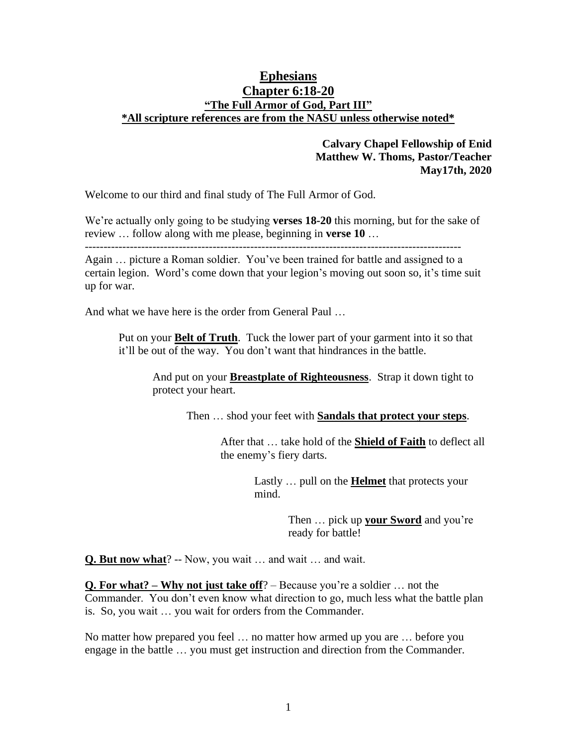## **Ephesians Chapter 6:18-20 "The Full Armor of God, Part III" \*All scripture references are from the NASU unless otherwise noted\***

### **Calvary Chapel Fellowship of Enid Matthew W. Thoms, Pastor/Teacher May17th, 2020**

Welcome to our third and final study of The Full Armor of God.

We're actually only going to be studying **verses 18-20** this morning, but for the sake of review … follow along with me please, beginning in **verse 10** …

----------------------------------------------------------------------------------------------------

Again … picture a Roman soldier. You've been trained for battle and assigned to a certain legion. Word's come down that your legion's moving out soon so, it's time suit up for war.

And what we have here is the order from General Paul …

Put on your **Belt of Truth**. Tuck the lower part of your garment into it so that it'll be out of the way. You don't want that hindrances in the battle.

And put on your **Breastplate of Righteousness**. Strap it down tight to protect your heart.

Then … shod your feet with **Sandals that protect your steps**.

After that … take hold of the **Shield of Faith** to deflect all the enemy's fiery darts.

> Lastly … pull on the **Helmet** that protects your mind.

> > Then … pick up **your Sword** and you're ready for battle!

**Q. But now what**? -- Now, you wait … and wait … and wait.

**Q. For what? – Why not just take off**? – Because you're a soldier … not the Commander. You don't even know what direction to go, much less what the battle plan is. So, you wait … you wait for orders from the Commander.

No matter how prepared you feel … no matter how armed up you are … before you engage in the battle … you must get instruction and direction from the Commander.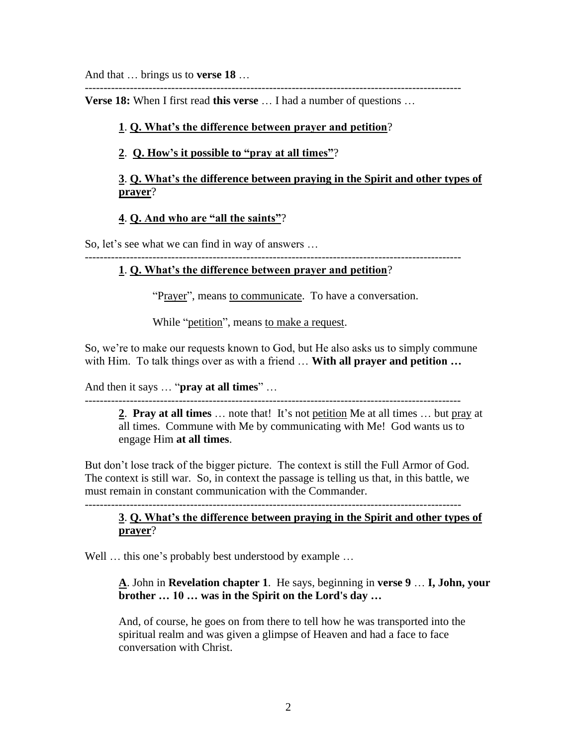And that … brings us to **verse 18** …

----------------------------------------------------------------------------------------------------

**Verse 18:** When I first read **this verse** … I had a number of questions …

# **1**. **Q. What's the difference between prayer and petition**?

# **2**. **Q. How's it possible to "pray at all times"**?

## **3**. **Q. What's the difference between praying in the Spirit and other types of prayer**?

# **4**. **Q. And who are "all the saints"**?

So, let's see what we can find in way of answers …

----------------------------------------------------------------------------------------------------

# **1**. **Q. What's the difference between prayer and petition**?

"Prayer", means to communicate. To have a conversation.

While "petition", means to make a request.

So, we're to make our requests known to God, but He also asks us to simply commune with Him. To talk things over as with a friend … **With all prayer and petition …**

And then it says … "**pray at all times**" …

----------------------------------------------------------------------------------------------------

**2**. **Pray at all times** … note that! It's not petition Me at all times … but pray at all times. Commune with Me by communicating with Me! God wants us to engage Him **at all times**.

But don't lose track of the bigger picture. The context is still the Full Armor of God. The context is still war. So, in context the passage is telling us that, in this battle, we must remain in constant communication with the Commander.

#### ---------------------------------------------------------------------------------------------------- **3**. **Q. What's the difference between praying in the Spirit and other types of prayer**?

Well ... this one's probably best understood by example ...

## **A**. John in **Revelation chapter 1**. He says, beginning in **verse 9** … **I, John, your brother … 10 … was in the Spirit on the Lord's day …**

And, of course, he goes on from there to tell how he was transported into the spiritual realm and was given a glimpse of Heaven and had a face to face conversation with Christ.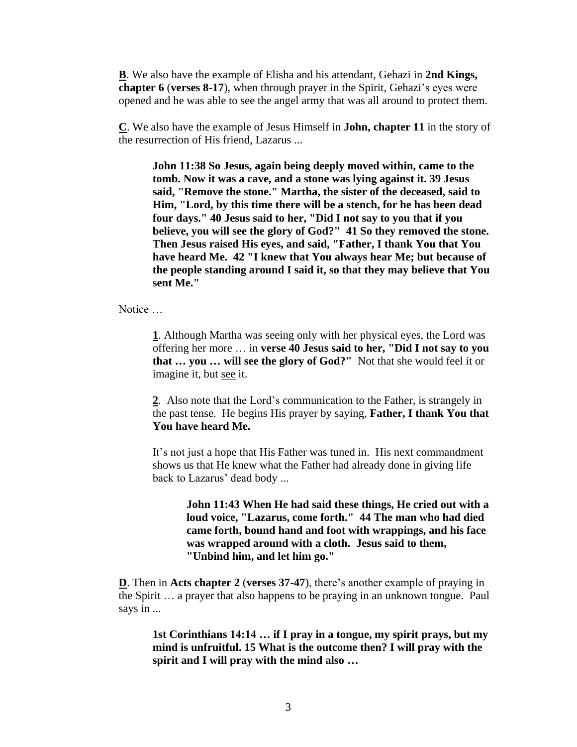**B**. We also have the example of Elisha and his attendant, Gehazi in **2nd Kings, chapter 6** (**verses 8-17**), when through prayer in the Spirit, Gehazi's eyes were opened and he was able to see the angel army that was all around to protect them.

**C**. We also have the example of Jesus Himself in **John, chapter 11** in the story of the resurrection of His friend, Lazarus ...

**John 11:38 So Jesus, again being deeply moved within, came to the tomb. Now it was a cave, and a stone was lying against it. 39 Jesus said, "Remove the stone." Martha, the sister of the deceased, said to Him, "Lord, by this time there will be a stench, for he has been dead four days." 40 Jesus said to her, "Did I not say to you that if you believe, you will see the glory of God?" 41 So they removed the stone. Then Jesus raised His eyes, and said, "Father, I thank You that You have heard Me. 42 "I knew that You always hear Me; but because of the people standing around I said it, so that they may believe that You sent Me."** 

Notice …

**1**. Although Martha was seeing only with her physical eyes, the Lord was offering her more … in **verse 40 Jesus said to her, "Did I not say to you that … you … will see the glory of God?"** Not that she would feel it or imagine it, but see it.

**2**. Also note that the Lord's communication to the Father, is strangely in the past tense. He begins His prayer by saying, **Father, I thank You that You have heard Me.** 

It's not just a hope that His Father was tuned in. His next commandment shows us that He knew what the Father had already done in giving life back to Lazarus' dead body ...

> **John 11:43 When He had said these things, He cried out with a loud voice, "Lazarus, come forth." 44 The man who had died came forth, bound hand and foot with wrappings, and his face was wrapped around with a cloth. Jesus said to them, "Unbind him, and let him go."**

**D**. Then in **Acts chapter 2** (**verses 37-47**), there's another example of praying in the Spirit … a prayer that also happens to be praying in an unknown tongue. Paul says in ...

**1st Corinthians 14:14 … if I pray in a tongue, my spirit prays, but my mind is unfruitful. 15 What is the outcome then? I will pray with the spirit and I will pray with the mind also …**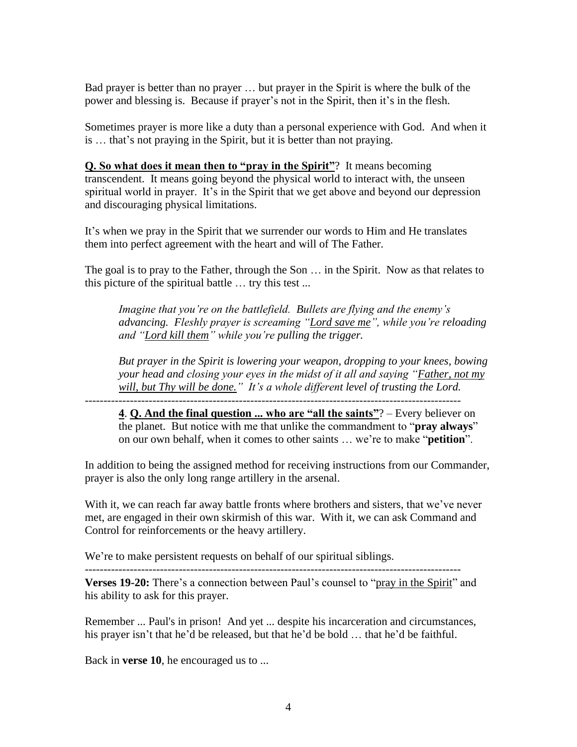Bad prayer is better than no prayer … but prayer in the Spirit is where the bulk of the power and blessing is. Because if prayer's not in the Spirit, then it's in the flesh.

Sometimes prayer is more like a duty than a personal experience with God. And when it is … that's not praying in the Spirit, but it is better than not praying.

**Q. So what does it mean then to "pray in the Spirit"**? It means becoming transcendent. It means going beyond the physical world to interact with, the unseen spiritual world in prayer. It's in the Spirit that we get above and beyond our depression and discouraging physical limitations.

It's when we pray in the Spirit that we surrender our words to Him and He translates them into perfect agreement with the heart and will of The Father.

The goal is to pray to the Father, through the Son … in the Spirit. Now as that relates to this picture of the spiritual battle … try this test ...

*Imagine that you're on the battlefield. Bullets are flying and the enemy's advancing. Fleshly prayer is screaming "Lord save me", while you're reloading and "Lord kill them" while you're pulling the trigger.* 

*But prayer in the Spirit is lowering your weapon, dropping to your knees, bowing your head and closing your eyes in the midst of it all and saying "Father, not my will, but Thy will be done." It's a whole different level of trusting the Lord.*  ----------------------------------------------------------------------------------------------------

**4**. **Q. And the final question ... who are "all the saints"**? – Every believer on the planet. But notice with me that unlike the commandment to "**pray always**" on our own behalf, when it comes to other saints … we're to make "**petition**".

In addition to being the assigned method for receiving instructions from our Commander, prayer is also the only long range artillery in the arsenal.

With it, we can reach far away battle fronts where brothers and sisters, that we've never met, are engaged in their own skirmish of this war. With it, we can ask Command and Control for reinforcements or the heavy artillery.

We're to make persistent requests on behalf of our spiritual siblings.

---------------------------------------------------------------------------------------------------- **Verses 19-20:** There's a connection between Paul's counsel to "pray in the Spirit" and his ability to ask for this prayer.

Remember ... Paul's in prison! And yet ... despite his incarceration and circumstances, his prayer isn't that he'd be released, but that he'd be bold … that he'd be faithful.

Back in **verse 10**, he encouraged us to ...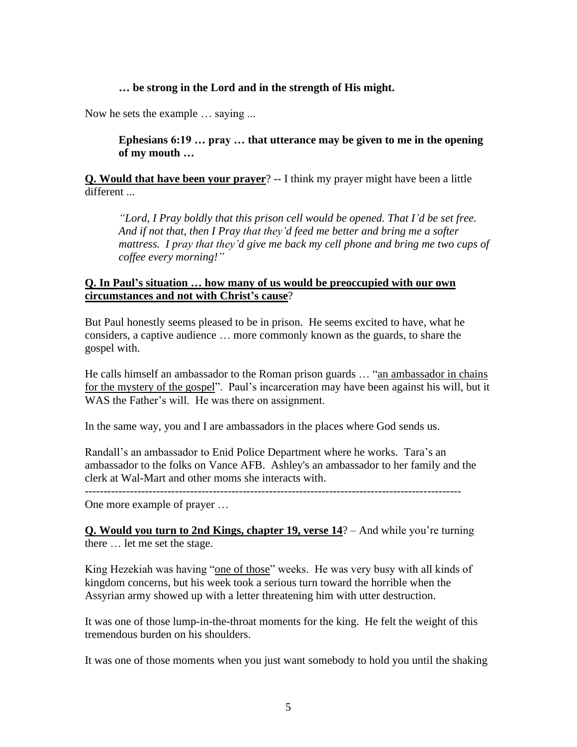#### **… be strong in the Lord and in the strength of His might.**

Now he sets the example … saying ...

**Ephesians 6:19 … pray … that utterance may be given to me in the opening of my mouth …**

**Q. Would that have been your prayer**? -- I think my prayer might have been a little different ...

*"Lord, I Pray boldly that this prison cell would be opened. That I'd be set free. And if not that, then I Pray that they'd feed me better and bring me a softer mattress. I pray that they'd give me back my cell phone and bring me two cups of coffee every morning!"*

### **Q. In Paul's situation … how many of us would be preoccupied with our own circumstances and not with Christ's cause**?

But Paul honestly seems pleased to be in prison. He seems excited to have, what he considers, a captive audience … more commonly known as the guards, to share the gospel with.

He calls himself an ambassador to the Roman prison guards … "an ambassador in chains for the mystery of the gospel". Paul's incarceration may have been against his will, but it WAS the Father's will. He was there on assignment.

In the same way, you and I are ambassadors in the places where God sends us.

Randall's an ambassador to Enid Police Department where he works. Tara's an ambassador to the folks on Vance AFB. Ashley's an ambassador to her family and the clerk at Wal-Mart and other moms she interacts with.

----------------------------------------------------------------------------------------------------

One more example of prayer …

**Q. Would you turn to 2nd Kings, chapter 19, verse 14**? – And while you're turning there … let me set the stage.

King Hezekiah was having "one of those" weeks. He was very busy with all kinds of kingdom concerns, but his week took a serious turn toward the horrible when the Assyrian army showed up with a letter threatening him with utter destruction.

It was one of those lump-in-the-throat moments for the king. He felt the weight of this tremendous burden on his shoulders.

It was one of those moments when you just want somebody to hold you until the shaking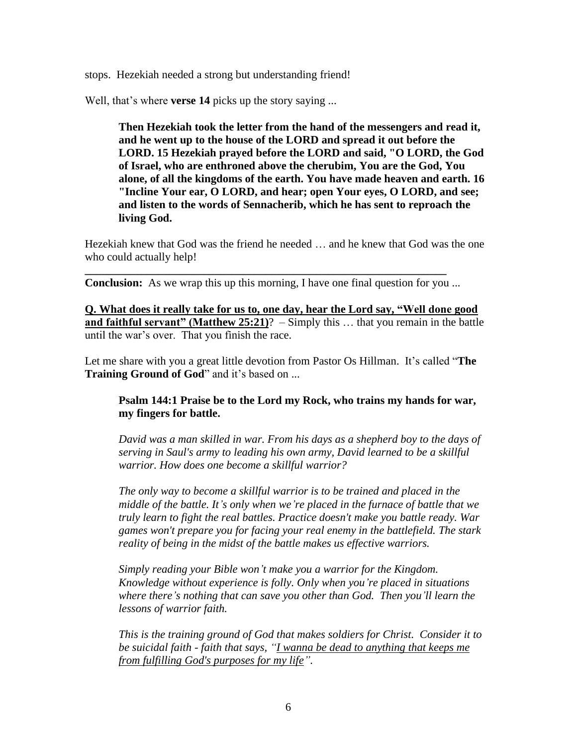stops. Hezekiah needed a strong but understanding friend!

Well, that's where **verse 14** picks up the story saying ...

**Then Hezekiah took the letter from the hand of the messengers and read it, and he went up to the house of the LORD and spread it out before the LORD. 15 Hezekiah prayed before the LORD and said, "O LORD, the God of Israel, who are enthroned above the cherubim, You are the God, You alone, of all the kingdoms of the earth. You have made heaven and earth. 16 "Incline Your ear, O LORD, and hear; open Your eyes, O LORD, and see; and listen to the words of Sennacherib, which he has sent to reproach the living God.** 

Hezekiah knew that God was the friend he needed … and he knew that God was the one who could actually help!

**Conclusion:** As we wrap this up this morning, I have one final question for you ...

**\_\_\_\_\_\_\_\_\_\_\_\_\_\_\_\_\_\_\_\_\_\_\_\_\_\_\_\_\_\_\_\_\_\_\_\_\_\_\_\_\_\_\_\_\_\_\_\_\_\_\_\_\_\_\_\_\_\_\_\_\_\_\_\_**

**Q. What does it really take for us to, one day, hear the Lord say, "Well done good and faithful servant" (Matthew 25:21)**? – Simply this … that you remain in the battle until the war's over. That you finish the race.

Let me share with you a great little devotion from Pastor Os Hillman. It's called "**The Training Ground of God**" and it's based on ...

### **Psalm 144:1 Praise be to the Lord my Rock, who trains my hands for war, my fingers for battle.**

*David was a man skilled in war. From his days as a shepherd boy to the days of serving in Saul's army to leading his own army, David learned to be a skillful warrior. How does one become a skillful warrior?*

*The only way to become a skillful warrior is to be trained and placed in the middle of the battle. It's only when we're placed in the furnace of battle that we truly learn to fight the real battles. Practice doesn't make you battle ready. War games won't prepare you for facing your real enemy in the battlefield. The stark reality of being in the midst of the battle makes us effective warriors.*

*Simply reading your Bible won't make you a warrior for the Kingdom. Knowledge without experience is folly. Only when you're placed in situations where there's nothing that can save you other than God. Then you'll learn the lessons of warrior faith.* 

*This is the training ground of God that makes soldiers for Christ. Consider it to be suicidal faith - faith that says, "I wanna be dead to anything that keeps me from fulfilling God's purposes for my life".*